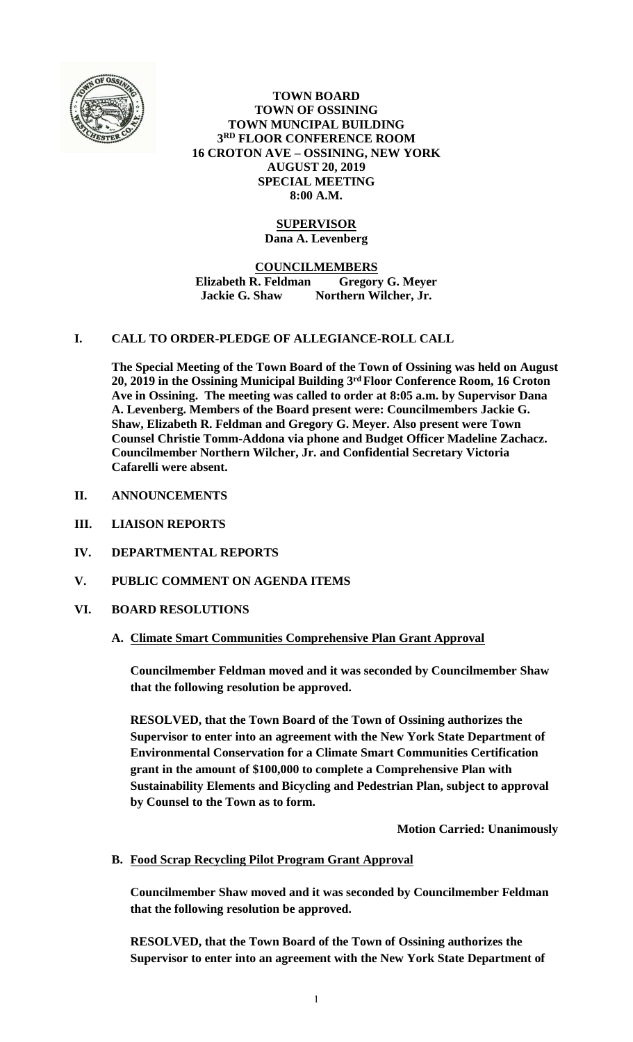

**TOWN BOARD TOWN OF OSSINING TOWN MUNCIPAL BUILDING 3 RD FLOOR CONFERENCE ROOM 16 CROTON AVE – OSSINING, NEW YORK AUGUST 20, 2019 SPECIAL MEETING 8:00 A.M.**

## **SUPERVISOR Dana A. Levenberg**

### **COUNCILMEMBERS Elizabeth R. Feldman Gregory G. Meyer Jackie G. Shaw Northern Wilcher, Jr.**

# **I. CALL TO ORDER-PLEDGE OF ALLEGIANCE-ROLL CALL**

**The Special Meeting of the Town Board of the Town of Ossining was held on August 20, 2019 in the Ossining Municipal Building 3 rdFloor Conference Room, 16 Croton Ave in Ossining. The meeting was called to order at 8:05 a.m. by Supervisor Dana A. Levenberg. Members of the Board present were: Councilmembers Jackie G. Shaw, Elizabeth R. Feldman and Gregory G. Meyer. Also present were Town Counsel Christie Tomm-Addona via phone and Budget Officer Madeline Zachacz. Councilmember Northern Wilcher, Jr. and Confidential Secretary Victoria Cafarelli were absent.**

- **II. ANNOUNCEMENTS**
- **III. LIAISON REPORTS**
- **IV. DEPARTMENTAL REPORTS**
- **V. PUBLIC COMMENT ON AGENDA ITEMS**

# **VI. BOARD RESOLUTIONS**

## **A. Climate Smart Communities Comprehensive Plan Grant Approval**

**Councilmember Feldman moved and it was seconded by Councilmember Shaw that the following resolution be approved.**

**RESOLVED, that the Town Board of the Town of Ossining authorizes the Supervisor to enter into an agreement with the New York State Department of Environmental Conservation for a Climate Smart Communities Certification grant in the amount of \$100,000 to complete a Comprehensive Plan with Sustainability Elements and Bicycling and Pedestrian Plan, subject to approval by Counsel to the Town as to form.**

**Motion Carried: Unanimously**

**B. Food Scrap Recycling Pilot Program Grant Approval**

**Councilmember Shaw moved and it was seconded by Councilmember Feldman that the following resolution be approved.**

**RESOLVED, that the Town Board of the Town of Ossining authorizes the Supervisor to enter into an agreement with the New York State Department of**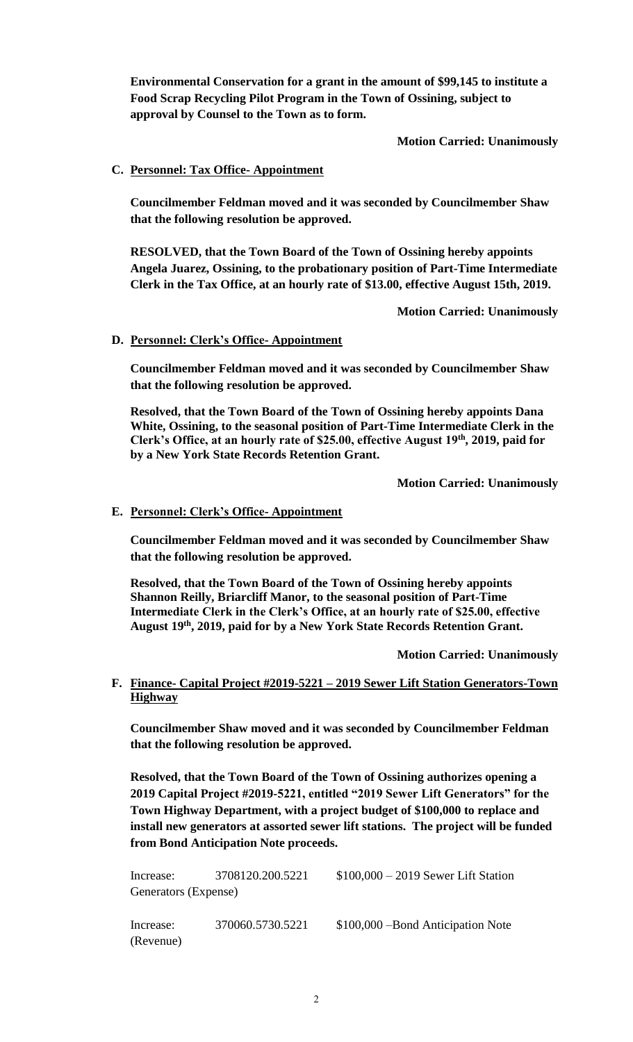**Environmental Conservation for a grant in the amount of \$99,145 to institute a Food Scrap Recycling Pilot Program in the Town of Ossining, subject to approval by Counsel to the Town as to form.**

**Motion Carried: Unanimously**

## **C. Personnel: Tax Office- Appointment**

**Councilmember Feldman moved and it was seconded by Councilmember Shaw that the following resolution be approved.**

**RESOLVED, that the Town Board of the Town of Ossining hereby appoints Angela Juarez, Ossining, to the probationary position of Part-Time Intermediate Clerk in the Tax Office, at an hourly rate of \$13.00, effective August 15th, 2019.**

**Motion Carried: Unanimously**

### **D. Personnel: Clerk's Office- Appointment**

**Councilmember Feldman moved and it was seconded by Councilmember Shaw that the following resolution be approved.**

**Resolved, that the Town Board of the Town of Ossining hereby appoints Dana White, Ossining, to the seasonal position of Part-Time Intermediate Clerk in the Clerk's Office, at an hourly rate of \$25.00, effective August 19th, 2019, paid for by a New York State Records Retention Grant.**

**Motion Carried: Unanimously**

#### **E. Personnel: Clerk's Office- Appointment**

**Councilmember Feldman moved and it was seconded by Councilmember Shaw that the following resolution be approved.**

**Resolved, that the Town Board of the Town of Ossining hereby appoints Shannon Reilly, Briarcliff Manor, to the seasonal position of Part-Time Intermediate Clerk in the Clerk's Office, at an hourly rate of \$25.00, effective August 19th, 2019, paid for by a New York State Records Retention Grant.**

**Motion Carried: Unanimously**

### **F. Finance- Capital Project #2019-5221 – 2019 Sewer Lift Station Generators-Town Highway**

**Councilmember Shaw moved and it was seconded by Councilmember Feldman that the following resolution be approved.**

**Resolved, that the Town Board of the Town of Ossining authorizes opening a 2019 Capital Project #2019-5221, entitled "2019 Sewer Lift Generators" for the Town Highway Department, with a project budget of \$100,000 to replace and install new generators at assorted sewer lift stations. The project will be funded from Bond Anticipation Note proceeds.** 

| Increase:            | 3708120.200.5221 | $$100,000 - 2019$ Sewer Lift Station |
|----------------------|------------------|--------------------------------------|
| Generators (Expense) |                  |                                      |
| Increase:            | 370060.5730.5221 | \$100,000 – Bond Anticipation Note   |
| (Revenue)            |                  |                                      |